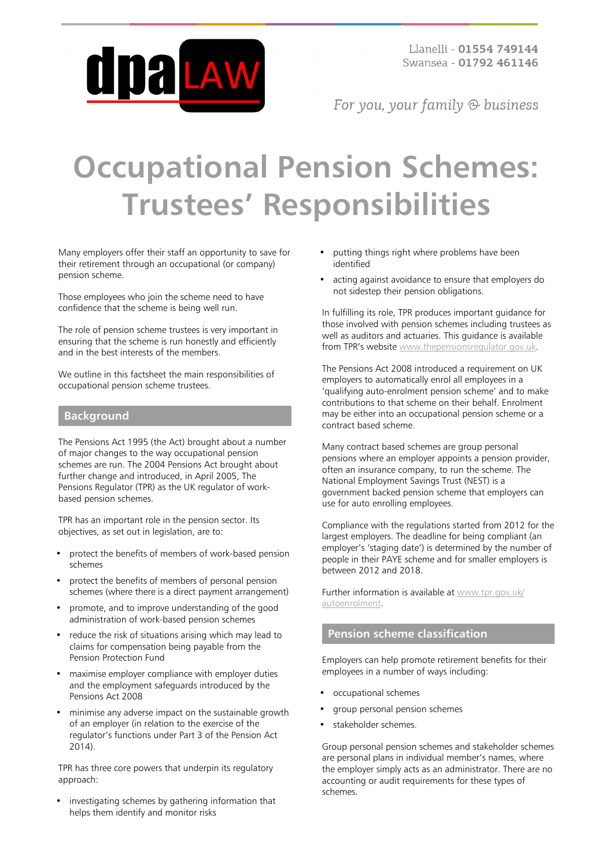

For you, your family @ business

# **Occupational Pension Schemes: Trustees' Responsibilities**

Many employers offer their staff an opportunity to save for their retirement through an occupational (or company) pension scheme.

Those employees who join the scheme need to have confidence that the scheme is being well run.

The role of pension scheme trustees is very important in ensuring that the scheme is run honestly and efficiently and in the best interests of the members.

We outline in this factsheet the main responsibilities of occupational pension scheme trustees.

#### **Background**

The Pensions Act 1995 (the Act) brought about a number of major changes to the way occupational pension schemes are run. The 2004 Pensions Act brought about further change and introduced, in April 2005, The Pensions Regulator (TPR) as the UK regulator of workbased pension schemes.

TPR has an important role in the pension sector. Its objectives, as set out in legislation, are to:

- protect the benefits of members of work-based pension schemes
- protect the benefits of members of personal pension schemes (where there is a direct payment arrangement)
- promote, and to improve understanding of the good administration of work-based pension schemes
- reduce the risk of situations arising which may lead to claims for compensation being payable from the Pension Protection Fund
- maximise employer compliance with employer duties and the employment safeguards introduced by the Pensions Act 2008
- minimise any adverse impact on the sustainable growth of an employer (in relation to the exercise of the regulator's functions under Part 3 of the Pension Act 2014).

TPR has three core powers that underpin its regulatory approach:

investigating schemes by gathering information that helps them identify and monitor risks

- putting things right where problems have been identified
- acting against avoidance to ensure that employers do not sidestep their pension obligations.

In fulfilling its role, TPR produces important guidance for those involved with pension schemes including trustees as well as auditors and actuaries. This guidance is available from TPR's website [www.thepensionsregulator.gov.uk](http://www.thepensionsregulator.gov.uk/).

The Pensions Act 2008 introduced a requirement on UK employers to automatically enrol all employees in a 'qualifying auto-enrolment pension scheme' and to make contributions to that scheme on their behalf. Enrolment may be either into an occupational pension scheme or a contract based scheme.

Many contract based schemes are group personal pensions where an employer appoints a pension provider, often an insurance company, to run the scheme. The National Employment Savings Trust (NEST) is a government backed pension scheme that employers can use for auto enrolling employees.

Compliance with the regulations started from 2012 for the largest employers. The deadline for being compliant (an employer's 'staging date') is determined by the number of people in their PAYE scheme and for smaller employers is between 2012 and 2018.

Further information is available at [www.tpr.gov.uk/](http://www.tpr.gov.uk/autoenrolment) [autoenrolment.](http://www.tpr.gov.uk/autoenrolment)

#### **Pension scheme classification**

Employers can help promote retirement benefits for their employees in a number of ways including:

- occupational schemes
- group personal pension schemes
- stakeholder schemes.

Group personal pension schemes and stakeholder schemes are personal plans in individual member's names, where the employer simply acts as an administrator. There are no accounting or audit requirements for these types of schemes.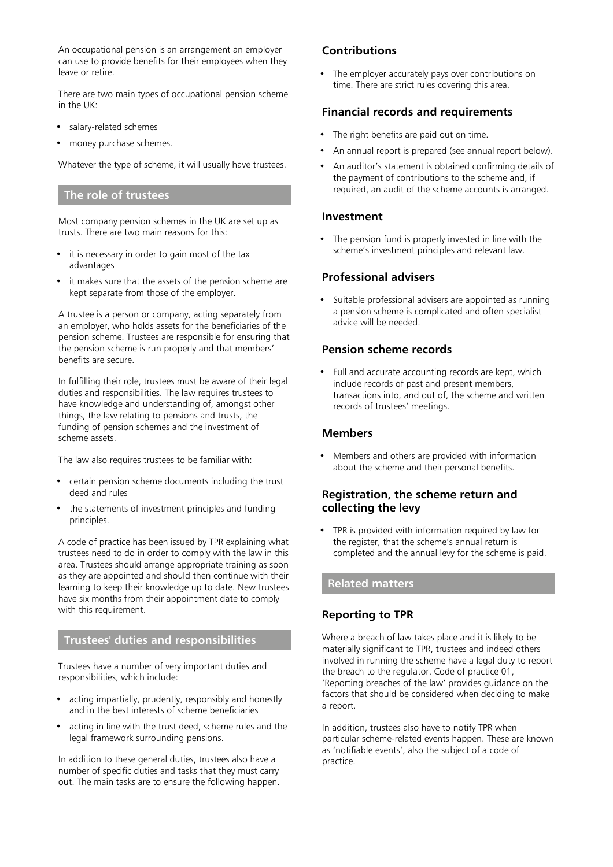An occupational pension is an arrangement an employer can use to provide benefits for their employees when they leave or retire.

There are two main types of occupational pension scheme in the UK:

- salary-related schemes
- money purchase schemes.

Whatever the type of scheme, it will usually have trustees.

#### **The role of trustees**

Most company pension schemes in the UK are set up as trusts. There are two main reasons for this:

- it is necessary in order to gain most of the tax advantages
- it makes sure that the assets of the pension scheme are kept separate from those of the employer.

A trustee is a person or company, acting separately from an employer, who holds assets for the beneficiaries of the pension scheme. Trustees are responsible for ensuring that the pension scheme is run properly and that members' benefits are secure.

In fulfilling their role, trustees must be aware of their legal duties and responsibilities. The law requires trustees to have knowledge and understanding of, amongst other things, the law relating to pensions and trusts, the funding of pension schemes and the investment of scheme assets.

The law also requires trustees to be familiar with:

- certain pension scheme documents including the trust deed and rules
- the statements of investment principles and funding principles.

A code of practice has been issued by TPR explaining what trustees need to do in order to comply with the law in this area. Trustees should arrange appropriate training as soon as they are appointed and should then continue with their learning to keep their knowledge up to date. New trustees have six months from their appointment date to comply with this requirement.

# **Trustees' duties and responsibilities**

Trustees have a number of very important duties and responsibilities, which include:

- acting impartially, prudently, responsibly and honestly and in the best interests of scheme beneficiaries
- acting in line with the trust deed, scheme rules and the legal framework surrounding pensions.

In addition to these general duties, trustees also have a number of specific duties and tasks that they must carry out. The main tasks are to ensure the following happen.

# **Contributions**

• The employer accurately pays over contributions on time. There are strict rules covering this area.

## **Financial records and requirements**

- The right benefits are paid out on time.
- An annual report is prepared (see annual report below).
- An auditor's statement is obtained confirming details of the payment of contributions to the scheme and, if required, an audit of the scheme accounts is arranged.

#### **Investment**

• The pension fund is properly invested in line with the scheme's investment principles and relevant law.

# **Professional advisers**

Suitable professional advisers are appointed as running a pension scheme is complicated and often specialist advice will be needed.

## **Pension scheme records**

• Full and accurate accounting records are kept, which include records of past and present members, transactions into, and out of, the scheme and written records of trustees' meetings.

#### **Members**

• Members and others are provided with information about the scheme and their personal benefits.

# **Registration, the scheme return and collecting the levy**

TPR is provided with information required by law for the register, that the scheme's annual return is completed and the annual levy for the scheme is paid.

## **Related matters**

# **Reporting to TPR**

Where a breach of law takes place and it is likely to be materially significant to TPR, trustees and indeed others involved in running the scheme have a legal duty to report the breach to the regulator. Code of practice 01, 'Reporting breaches of the law' provides guidance on the factors that should be considered when deciding to make a report.

In addition, trustees also have to notify TPR when particular scheme-related events happen. These are known as 'notifiable events', also the subject of a code of practice.